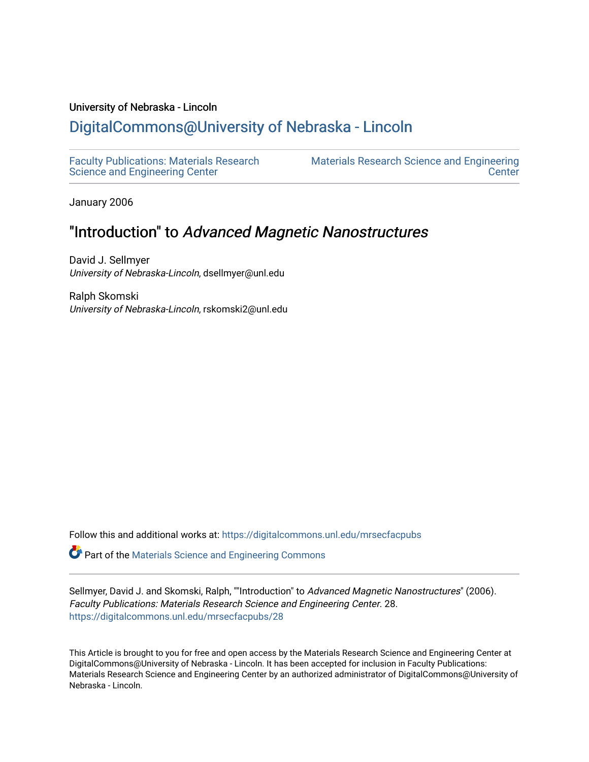## University of Nebraska - Lincoln

# [DigitalCommons@University of Nebraska - Lincoln](https://digitalcommons.unl.edu/)

[Faculty Publications: Materials Research](https://digitalcommons.unl.edu/mrsecfacpubs)  [Science and Engineering Center](https://digitalcommons.unl.edu/mrsecfacpubs) 

[Materials Research Science and Engineering](https://digitalcommons.unl.edu/materialsresearchscieeng)  **Center** 

January 2006

# "Introduction" to Advanced Magnetic Nanostructures

David J. Sellmyer University of Nebraska-Lincoln, dsellmyer@unl.edu

Ralph Skomski University of Nebraska-Lincoln, rskomski2@unl.edu

Follow this and additional works at: [https://digitalcommons.unl.edu/mrsecfacpubs](https://digitalcommons.unl.edu/mrsecfacpubs?utm_source=digitalcommons.unl.edu%2Fmrsecfacpubs%2F28&utm_medium=PDF&utm_campaign=PDFCoverPages) 

Part of the [Materials Science and Engineering Commons](http://network.bepress.com/hgg/discipline/285?utm_source=digitalcommons.unl.edu%2Fmrsecfacpubs%2F28&utm_medium=PDF&utm_campaign=PDFCoverPages) 

Sellmyer, David J. and Skomski, Ralph, ""Introduction" to Advanced Magnetic Nanostructures" (2006). Faculty Publications: Materials Research Science and Engineering Center. 28. [https://digitalcommons.unl.edu/mrsecfacpubs/28](https://digitalcommons.unl.edu/mrsecfacpubs/28?utm_source=digitalcommons.unl.edu%2Fmrsecfacpubs%2F28&utm_medium=PDF&utm_campaign=PDFCoverPages) 

This Article is brought to you for free and open access by the Materials Research Science and Engineering Center at DigitalCommons@University of Nebraska - Lincoln. It has been accepted for inclusion in Faculty Publications: Materials Research Science and Engineering Center by an authorized administrator of DigitalCommons@University of Nebraska - Lincoln.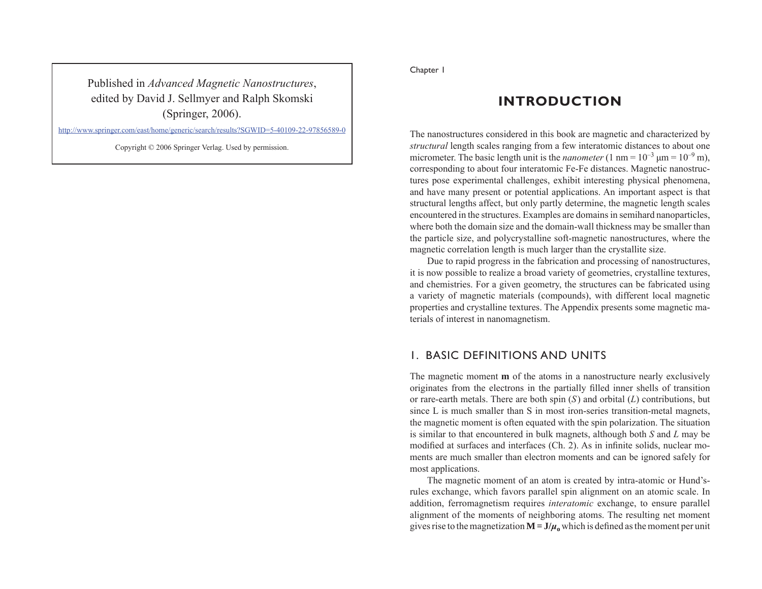Published in *Advanced Magnetic Nanostructures*, edited by David J. Sellmyer and Ralph Skomski (Springer, 2006).

http://www.springer.com/east/home/generic/search/results?SGWID=5-40109-22-97856589-0

Copyright © 2006 Springer Verlag. Used by permission.

Chapter 1

# **INTRODUCTION**

The nanostructures considered in this book are magnetic and characterized by *structural* length scales ranging from a few interatomic distances to about one micrometer. The basic length unit is the *nanometer* (1 nm =  $10^{-3}$  µm =  $10^{-9}$  m), corresponding to about four interatomic Fe-Fe distances. Magnetic nanostructures pose experimental challenges, exhibit interesting physical phenomena, and have many present or potential applications. An important aspect is that structural lengths affect, but only partly determine, the magnetic length scales encountered in the structures. Examples are domains in semihard nanoparticles, where both the domain size and the domain-wall thickness may be smaller than the particle size, and polycrystalline soft-magnetic nanostructures, where the magnetic correlation length is much larger than the crystallite size.

Due to rapid progress in the fabrication and processing of nanostructures, it is now possible to realize a broad variety of geometries, crystalline textures, and chemistries. For a given geometry, the structures can be fabricated using a variety of magnetic materials (compounds), with different local magnetic properties and crystalline textures. The Appendix presents some magnetic materials of interest in nanomagnetism.

## 1. BASIC DEFINITIONS AND UNITS

The magnetic moment **m** of the atoms in a nanostructure nearly exclusively originates from the electrons in the partially filled inner shells of transition or rare-earth metals. There are both spin (*S*) and orbital (*L*) contributions, but since L is much smaller than S in most iron-series transition-metal magnets, the magnetic moment is often equated with the spin polarization. The situation is similar to that encountered in bulk magnets, although both *S* and *L* may be modified at surfaces and interfaces (Ch. 2). As in infinite solids, nuclear moments are much smaller than electron moments and can be ignored safely for most applications.

The magnetic moment of an atom is created by intra-atomic or Hund'srules exchange, which favors parallel spin alignment on an atomic scale. In addition, ferromagnetism requires *interatomic* exchange, to ensure parallel alignment of the moments of neighboring atoms. The resulting net moment gives rise to the magnetization  $M = J/\mu_0$  which is defined as the moment per unit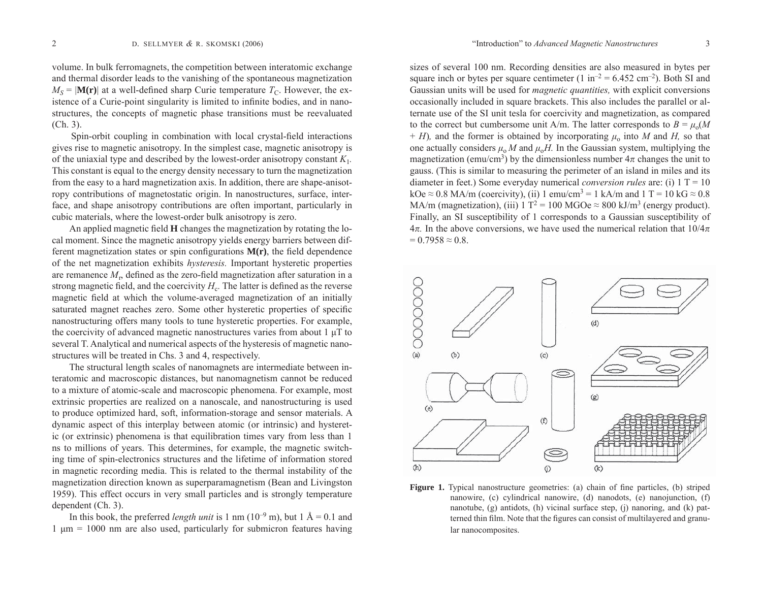volume. In bulk ferromagnets, the competition between interatomic ex change and thermal disorder leads to the vanishing of the spontaneous magnetization  $M_S = |\mathbf{M}(\mathbf{r})|$  at a well-defined sharp Curie temperature  $T_C$ . However, the existence of a Curie-point singularity is limited to infinite bodies, and in nanostructures, the concepts of magnetic phase transitions must be reevaluated (Ch. 3).

Spin-orbit coupling in combination with local crystal-field interactions gives rise to magnetic anisotropy. In the simplest case, magnetic anisotropy is of the uniaxial type and described by the lowest-order anisotropy constant *K*1*.* This constant is equal to the energy density necessary to turn the magnetization from the easy to a hard magnetization axis. In addition, there are shape-anisotropy contributions of magnetostatic origin. In nanostructures, surface, interface, and shape anisotropy contributions are often important, particularly in cubic materials, where the lowest-order bulk anisotropy is zero.

An applied magnetic field **H** changes the magnetization by rotating the local moment. Since the magnetic anisotropy yields energy barriers between different magnetization states or spin configurations  $M(r)$ , the field dependence of the net magnetization exhibits *hysteresis.* Important hysteretic properties are remanence  $M_{\rm r}$ , defined as the zero-field magnetization after saturation in a strong magnetic field, and the coercivity  $H_c$ . The latter is defined as the reverse magnetic field at which the volume-averaged magnetization of an initially saturated magnet reaches zero. Some other hysteretic properties of specific nanostructuring offers many tools to tune hysteretic properties. For example, the coercivity of advanced magnetic nanostructures varies from about 1 μT to several T. Analytical and numerical aspects of the hysteresis of magnetic nanostructures will be treated in Chs. 3 and 4, respectively.

The structural length scales of nanomagnets are intermediate between interatomic and macroscopic distances, but nanomagnetism cannot be reduced to a mixture of atomic-scale and macroscopic phenomena. For example, most extrinsic properties are realized on a nanoscale, and nanostructuring is used to produce optimized hard, soft, information-storage and sensor materials. A dynamic aspect of this interplay between atomic (or intrinsic) and hysteretic (or extrinsic) phenomena is that equilibration times vary from less than 1 ns to millions of years. This determines, for example, the magnetic switching time of spin-electronics structures and the lifetime of information stored in magnetic recording media. This is related to the thermal instability of the magnetization direction known as superparamagnetism (Bean and Livingston 1959). This effect occurs in very small particles and is strongly temperature dependent (Ch. 3).

In this book, the preferred *length unit* is 1 nm  $(10^{-9}$  m), but 1 Å = 0.1 and 1  $\mu$ m = 1000 nm are also used, particularly for submicron features having

sizes of several 100 nm. Recording densities are also measured in bytes per square inch or bytes per square centimeter (1 in<sup>-2</sup> = 6.452 cm<sup>-2</sup>). Both SI and Gaussian units will be used for *magnetic quantities,* with explicit conversions occasionally included in square brackets. This also includes the parallel or alternate use of the SI unit tesla for coercivity and magnetization, as compared to the correct but cumbersome unit A/m. The latter corresponds to  $B = \mu_0(M)$  $+ H$ ), and the former is obtained by incorporating  $\mu_0$  into M and H, so that one actually considers  $\mu_0 M$  and  $\mu_0 H$ . In the Gaussian system, multiplying the magnetization (emu/cm<sup>3</sup>) by the dimensionless number  $4\pi$  changes the unit to gauss. (This is similar to measuring the perimeter of an island in miles and its diameter in feet.) Some everyday numerical *conversion rules* are: (i)  $1 T = 10$  $kOe \approx 0.8$  MA/m (coercivity), (ii) 1 emu/cm<sup>3</sup> = 1 kA/m and 1 T = 10 kG  $\approx 0.8$ MA/m (magnetization), (iii)  $1 T^2 = 100 MGOe \approx 800 kJ/m^3$  (energy product). Finally, an SI susceptibility of 1 corresponds to a Gaussian susceptibility of  $4\pi$ . In the above conversions, we have used the numerical relation that  $10/4\pi$  $= 0.7958 \approx 0.8.$ 

**Figure 1.** Typical nanostructure geometries: (a) chain of fine particles, (b) striped nanowire, (c) cylindrical nanowire, (d) nanodots, (e) nanojunction, (f) nanotube, (g) antidots, (h) vicinal surface step, (j) nanoring, and (k) patterned thin film. Note that the figures can consist of multilayered and granular nanocomposites.

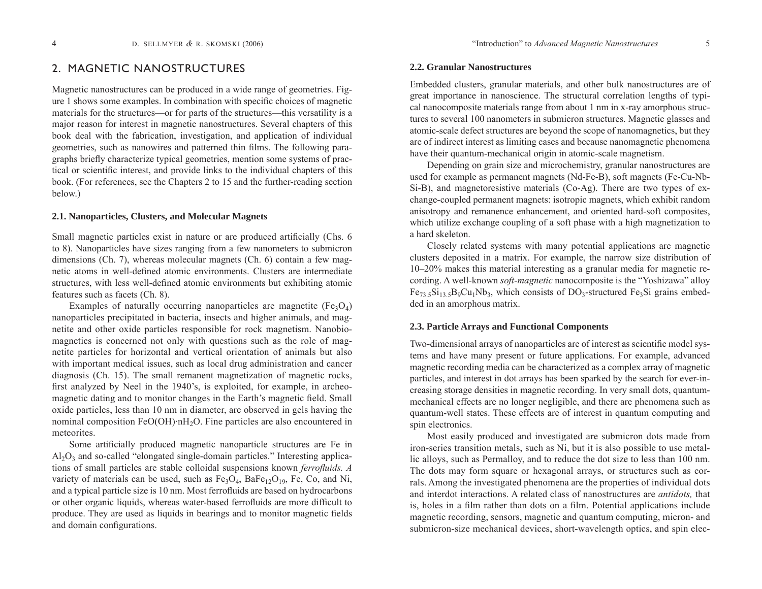## 2. MAGNETIC NANOSTRUCTURES

Magnetic nanostructures can be produced in a wide range of geometries. Figure 1 shows some examples. In combination with speci fi c choices of magnetic materials for the structures—or for parts of the structures—this versatility is a major reason for interest in magnetic nanostructures. Several chapters of this book deal with the fabrication, investigation, and application of individual geometries, such as nanowires and patterned thin films. The following paragraphs brie fl y characterize typical geometries, mention some systems of practical or scientific interest, and provide links to the individual chapters of this book. (For references, see the Chapters 2 to 15 and the further-reading section below.)

#### **2.1. Nanoparticles, Clusters, and Molecular Magnets**

Small magnetic particles exist in nature or are produced artificially (Chs. 6 to 8). Nanoparticles have sizes ranging from a few nanometers to submicron dimensions (Ch. 7), whereas molecular magnets (Ch. 6) contain a few magnetic atoms in well-defined atomic environments. Clusters are intermediate structures, with less well-defined atomic environments but exhibiting atomic features such as facets (Ch. 8).

Examples of naturally occurring nanoparticles are magnetite ( $Fe<sub>3</sub>O<sub>4</sub>$ ) nanoparticles precipitated in bacteria, insects and higher animals, and magnetite and other oxide particles responsible for rock magnetism. Nanobiomagnetics is concerned not only with questions such as the role of magnetite particles for horizontal and vertical orientation of animals but also with important medical issues, such as local drug administration and cancer diagnosis (Ch. 15). The small remanent magnetization of magnetic rocks, first analyzed by Neel in the 1940's, is exploited, for example, in archeomagnetic dating and to monitor changes in the Earth's magnetic field. Small oxide particles, less than 10 nm in diameter, are observed in gels having the nominal composition  $FeO(OH) \cdot nH_2O$ . Fine particles are also encountered in meteorites.

Some artificially produced magnetic nanoparticle structures are Fe in  $Al_2O_3$  and so-called "elongated single-domain particles." Interesting applications of small particles are stable colloidal suspensions known *ferrofluids*. A variety of materials can be used, such as  $Fe<sub>3</sub>O<sub>4</sub>$ , Ba $Fe<sub>12</sub>O<sub>19</sub>$ , Fe, Co, and Ni, and a typical particle size is 10 nm. Most ferro fl uids are based on hydrocarbons or other organic liquids, whereas water-based ferrofluids are more difficult to produce. They are used as liquids in bearings and to monitor magnetic fields and domain configurations.

#### **2.2. Granular Nanostructures**

Embedded clusters, granular materials, and other bulk nanostructures are of great importance in nanoscience. The structural correlation lengths of typical nanocomposite materials range from about 1 nm in x-ray amorphous structures to several 100 nanometers in submicron structures. Magnetic glasses and atomic-scale defect structures are beyond the scope of nanomagnetics, but they are of indirect interest as limiting cases and because nanomagnetic phenomena have their quantum-mechanical origin in atomic-scale magnetism.

Depending on grain size and microchemistry, granular nanostructures are used for example as permanent magnets (Nd-Fe-B), soft magnets (Fe-Cu-Nb-Si-B), and magnetoresistive materials (Co-Ag). There are two types of exchange-coupled permanent magnets: isotropic magnets, which exhibit random anisotropy and remanence enhancement, and oriented hard-soft composites, which utilize exchange coupling of a soft phase with a high magnetization to a hard skeleton.

Closely related systems with many potential applications are magnetic clusters deposited in a matrix. For example, the narrow size distribution of 10–20% makes this material interesting as a granular media for magnetic recording. A well-known *soft-magnetic* nanocomposite is the "Yoshizawa" alloy  $Fe_{73.5}Si_{13.5}B_9Cu_1Nb_3$ , which consists of  $DO_3$ -structured Fe<sub>3</sub>Si grains embedded in an amorphous matrix.

#### **2.3. Particle Arrays and Functional Components**

Two-dimensional arrays of nanoparticles are of interest as scientific model systems and have many present or future applications. For example, advanced magnetic recording media can be characterized as a complex array of magnetic particles, and interest in dot arrays has been sparked by the search for ever-increasing storage densities in magnetic recording. In very small dots, quantummechanical effects are no longer negligible, and there are phenomena such as quantum-well states. These effects are of interest in quantum computing and spin electronics.

Most easily produced and investigated are submicron dots made from iron-series transition metals, such as Ni, but it is also possible to use metallic alloys, such as Permalloy, and to reduce the dot size to less than 100 nm. The dots may form square or hexagonal arrays, or structures such as corrals. Among the investigated phenomena are the properties of individual dots and interdot interactions. A related class of nanostructures are *antidots,* that is, holes in a film rather than dots on a film. Potential applications include magnetic recording, sensors, magnetic and quantum computing, micron- and submicron-size mechanical devices, short-wavelength optics, and spin elec-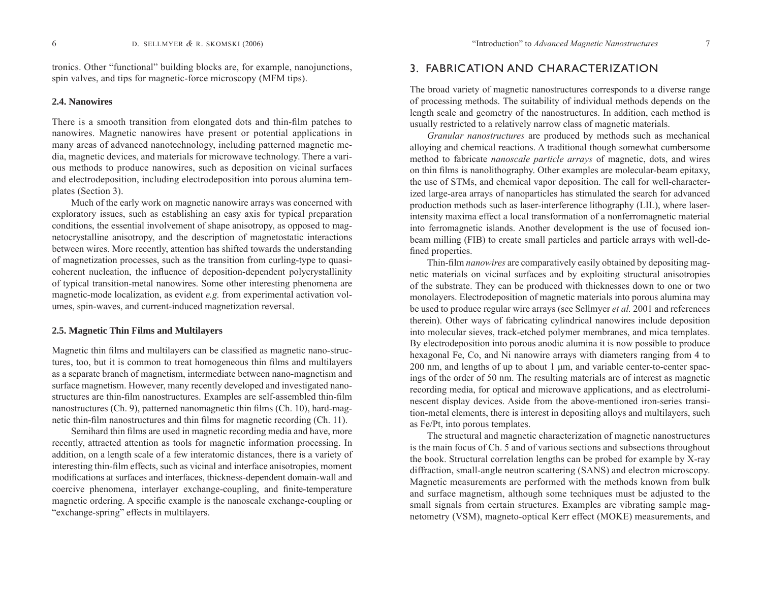tronics. Other "functional" building blocks are, for example, nanojunctions, spin valves, and tips for magnetic-force microscopy (MFM tips).

#### **2.4. Nanowires**

There is a smooth transition from elongated dots and thin-film patches to nanowires. Magnetic nanowires have present or potential applications in many areas of advanced nanotechnology, including patterned magnetic media, magnetic devices, and materials for microwave technology. There a various methods to produce nanowires, such as deposition on vicinal surfaces and electrodeposition, including electrodeposition into porous alumina templates (Section 3).

Much of the early work on magnetic nanowire arrays was concerned with exploratory issues, such as establishing an easy axis for typical preparation conditions, the essential involvement of shape anisotropy, as opposed to magnetocrystalline anisotropy, and the description of magnetostatic interactions between wires. More recently, attention has shifted towards the understanding of magnetization processes, such as the transition from curling-type to quasicoherent nucleation, the influence of deposition-dependent polycrystallinity of typical transition-metal nanowires. Some other interesting phenomena are magnetic-mode localization, as evident *e.g.* from experimental activation volumes, spin-waves, and current-induced magnetization reversal.

#### **2.5. Magnetic Thin Films and Multilayers**

Magnetic thin films and multilayers can be classified as magnetic nano-structures, too, but it is common to treat homogeneous thin films and multilayers as a separate branch of magnetism, intermediate between nano-magnetism and surface magnetism. However, many recently developed and investigated nanostructures are thin-film nanostructures. Examples are self-assembled thin-film nanostructures (Ch. 9), patterned nanomagnetic thin films (Ch. 10), hard-magnetic thin-film nanostructures and thin films for magnetic recording (Ch. 11).

Semihard thin films are used in magnetic recording media and have, more recently, attracted attention as tools for magnetic information processing. In addition, on a length scale of a few interatomic distances, there is a variety of interesting thin-fi lm effects, such as vicinal and interface anisotropies, moment modi fi cations at surfaces and interfaces, thickness-dependent domain-wall and coercive phenomena, interlayer exchange-coupling, and finite-temperature magnetic ordering. A specific example is the nanoscale exchange-coupling or "exchange-spring" effects in multilayers.

### (2006) "Introduction" to *Advanced Magnetic Nanostructures* 7

## 3. FABRICATION AND CHARACTERIZATION

The broad variety of magnetic nanostructures corresponds to a diverse range of processing methods. The suitability of individual methods depends on the length scale and geometry of the nanostructures. In addition, each method is usually restricted to a relatively narrow class of magnetic materials.

*Granular nanostructures* are produced by methods such as mechanical alloying and chemical reactions. A traditional though somewhat cumbersome method to fabricate *nanoscale particle arrays* of magnetic, dots, and wires on thin films is nanolithography. Other examples are molecular-beam epitaxy, the use of STMs, and chemical vapor deposition. The call for well-characterized large-area arrays of nanoparticles has stimulated the search for advanced production methods such as laser-interference lithography (LIL), where laserintensity maxima effect a local transformation of a nonferromagnetic material into ferromagnetic islands. Another development is the use of focused ionbeam milling (FIB) to create small particles and particle arrays with well-defined properties.

Thin-film *nanowires* are comparatively easily obtained by depositing magnetic materials on vicinal surfaces and by exploiting structural anisotropies of the substrate. They can be produced with thicknesses down to one or two monolayers. Electrodeposition of magnetic materials into porous alumina may be used to produce regular wire arrays (see Sellmyer *et al.* 2001 and references therein). Other ways of fabricating cylindrical nanowires include deposition into molecular sieves, track-etched polymer membranes, and mica templates. By electrodeposition into porous anodic alumina it is now possible to produce hexagonal Fe, Co, and Ni nanowire arrays with diameters ranging from 4 to 200 nm, and lengths of up to about 1 μm, and variable center-to-center spacings of the order of 50 nm. The resulting materials are of interest as magnetic recording media, for optical and microwave applications, and as electroluminescent display devices. Aside from the above-mentioned iron-series transition-metal elements, there is interest in depositing alloys and multilayers, such as Fe/Pt, into porous templates.

The structural and magnetic characterization of magnetic nanostructures is the main focus of Ch. 5 and of various sections and subsections throughout the book. Structural correlation lengths can be probed for example by X-ray diffraction, small-angle neutron scattering (SANS) and electron microscopy. Magnetic measurements are performed with the methods known from bulk and surface magnetism, although some techniques must be adjusted to the small signals from certain structures. Examples are vibrating sample magnetometry (VSM), magneto-optical Kerr effect (MOKE) measurements, and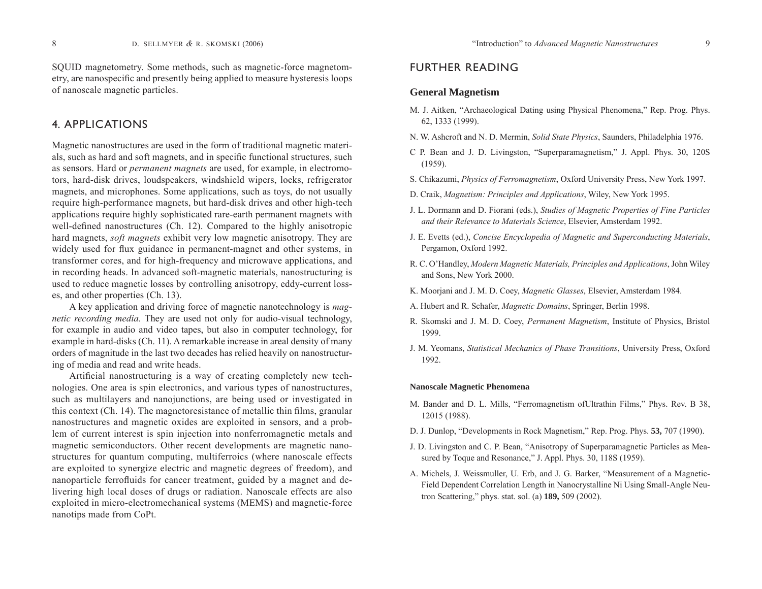SQUID magnetometry. Some methods, such as magnetic-force magnetometry, are nanospeci fi c and presently being applied to measure hysteresis loops of nanoscale magnetic particles.

## 4. APPLICATIONS

Magnetic nanostructures are used in the form of traditional magnetic materials, such as hard and soft magnets, and in specific functional structures, such as sensors. Hard or *permanent magnets* are used, for example, in electromotors, hard-disk drives, loudspeakers, windshield wipers, locks, refrigerator magnets, and microphones. Some applications, such as toys, do not usually require high-performance magnets, but hard-disk drives and other high-tech applications require highly sophisticated rare-earth permanent magnets with well-defined nanostructures (Ch. 12). Compared to the highly anisotropic hard magnets, *soft magnets* exhibit very low magnetic anisotropy. They are widely used for flux guidance in permanent-magnet and other systems, in transformer cores, and for high-frequency and microwave applications, and in recording heads. In advanced soft-magnetic materials, nanostructuring is used to reduce magnetic losses by controlling anisotropy, eddy-current losses, and other properties (Ch. 13).

A key application and driving force of magnetic nanotechnology is *magnetic recording media.* They are used not only for audio-visual technology, for example in audio and video tapes, but also in computer technology, for example in hard-disks (Ch. 11). A remarkable increase in areal density of many orders of magnitude in the last two decades has relied heavily on nanostructuring of media and read and write heads.

Artificial nanostructuring is a way of creating completely new technologies. One area is spin electronics, and various types of nanostructures, such as multilayers and nanojunctions, are being used or investigated in this context (Ch. 14). The magnetoresistance of metallic thin fi lms, granular nanostructures and magnetic oxides are exploited in sensors, and a problem of current interest is spin injection into nonferromagnetic metals and magnetic semiconductors. Other recent developments are magnetic nanostructures for quantum computing, multiferroics (where nanoscale effects are exploited to synergize electric and magnetic degrees of freedom), and nanoparticle ferrofluids for cancer treatment, guided by a magnet and delivering high local doses of drugs or radiation. Nanoscale effects are also exploited in micro-electromechanical systems (MEMS) and magnetic-force nanotips made from CoPt.

### FURTHER READING

### **General Magnetism**

- M. J. Aitken, "Archaeological Dating using Physical Phenomena," Rep. Prog. Phys. 62, 1333 (1999).
- N. W. Ashcroft and N. D. Mermin, *Solid State Physics*, Saunders, Philadelphia 1976.
- C P. Bean and J. D. Livingston, "Superparamagnetism," J. Appl. Phys. 30, 120S (1959).
- S. Chikazumi, *Physics of Ferromagnetism*, Oxford University Press, New York 1997.
- D. Craik, *Magnetism: Principles and Applications*, Wiley, New York 1995.
- J. L. Dormann and D. Fiorani (eds.), *Studies of Magnetic Properties of Fine Particles and their Relevance to Materials Science*, Elsevier, Amsterdam 1992.
- J. E. Evetts (ed.), *Concise Encyclopedia of Magnetic and Superconducting Materials*, Pergamon, Oxford 1992.
- R. C. O'Handley, *Modern Magnetic Materials, Principles and Applications*, John Wiley and Sons, New York 2000.
- K. Moorjani and J. M. D. Coey, *Magnetic Glasses*, Elsevier, Amsterdam 1984.
- A. Hubert and R. Schafer, *Magnetic Domains*, Springer, Berlin 1998.
- R. Skomski and J. M. D. Coey, *Permanent Magnetism*, Institute of Physics, Bristol 1999.
- J. M. Yeomans, *Statistical Mechanics of Phase Transitions*, University Press, Oxford 1992.

#### **Nanoscale Magnetic Phenomena**

- M. Bander and D. L. Mills, "Ferromagnetism ofUltrathin Films," Phys. Rev. B 38, 12015 (1988).
- D. J. Dunlop, "Developments in Rock Magnetism," Rep. Prog. Phys. **53,** 707 (1990).
- J. D. Livingston and C. P. Bean, "Anisotropy of Superparamagnetic Particles as Measured by Toque and Resonance," J. Appl. Phys. 30, 118S (1959).
- A. Michels, J. Weissmuller, U. Erb, and J. G. Barker, "Measurement of a Magnetic-Field Dependent Correlation Length in Nanocrystalline Ni Using Small-Angle Neutron Scattering," phys. stat. sol. (a) **189,** 509 (2002).